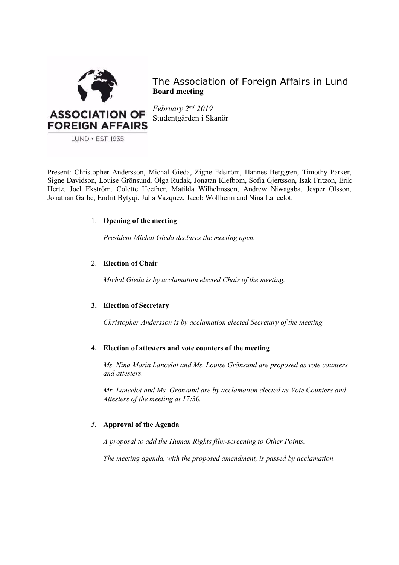

The Association of Foreign Affairs in Lund **Board meeting**

*February 2nd 2019* Studentgården i Skanör

Present: Christopher Andersson, Michal Gieda, Zigne Edström, Hannes Berggren, Timothy Parker, Signe Davidson, Louise Grönsund, Olga Rudak, Jonatan Klefbom, Sofia Gjertsson, Isak Fritzon, Erik Hertz, Joel Ekström, Colette Heefner, Matilda Wilhelmsson, Andrew Niwagaba, Jesper Olsson, Jonathan Garbe, Endrit Bytyqi, Julia Vázquez, Jacob Wollheim and Nina Lancelot.

# 1. **Opening of the meeting**

*President Michal Gieda declares the meeting open.*

# 2. **Election of Chair**

*Michal Gieda is by acclamation elected Chair of the meeting.*

# **3. Election of Secretary**

*Christopher Andersson is by acclamation elected Secretary of the meeting.*

# **4. Election of attesters and vote counters of the meeting**

*Ms. Nina Maria Lancelot and Ms. Louise Grönsund are proposed as vote counters and attesters.* 

*Mr. Lancelot and Ms. Grönsund are by acclamation elected as Vote Counters and Attesters of the meeting at 17:30.*

# *5.* **Approval of the Agenda**

*A proposal to add the Human Rights film-screening to Other Points.* 

*The meeting agenda, with the proposed amendment, is passed by acclamation.*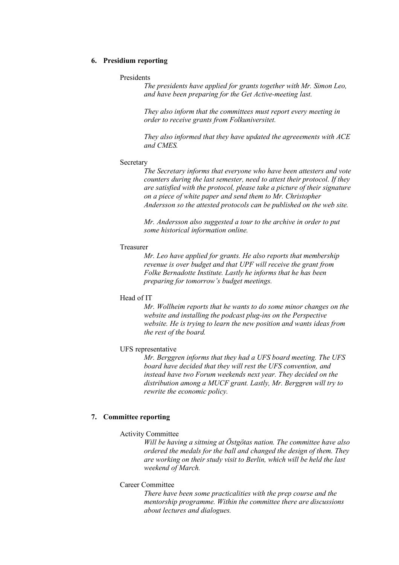### **6. Presidium reporting**

### Presidents

*The presidents have applied for grants together with Mr. Simon Leo, and have been preparing for the Get Active-meeting last.* 

*They also inform that the committees must report every meeting in order to receive grants from Folkuniversitet.*

*They also informed that they have updated the agreeements with ACE and CMES.* 

#### Secretary

*The Secretary informs that everyone who have been attesters and vote counters during the last semester, need to attest their protocol. If they are satisfied with the protocol, please take a picture of their signature on a piece of white paper and send them to Mr. Christopher Andersson so the attested protocols can be published on the web site.* 

*Mr. Andersson also suggested a tour to the archive in order to put some historical information online.* 

### Treasurer

*Mr. Leo have applied for grants. He also reports that membership revenue is over budget and that UPF will receive the grant from Folke Bernadotte Institute. Lastly he informs that he has been preparing for tomorrow's budget meetings.* 

### Head of IT

*Mr. Wollheim reports that he wants to do some minor changes on the website and installing the podcast plug-ins on the Perspective website. He is trying to learn the new position and wants ideas from the rest of the board.* 

### UFS representative

*Mr. Berggren informs that they had a UFS board meeting. The UFS board have decided that they will rest the UFS convention, and instead have two Forum weekends next year. They decided on the distribution among a MUCF grant. Lastly, Mr. Berggren will try to rewrite the economic policy.*

# **7. Committee reporting**

#### Activity Committee

*Will be having a sittning at Östgötas nation. The committee have also ordered the medals for the ball and changed the design of them. They are working on their study visit to Berlin, which will be held the last weekend of March.*

### Career Committee

*There have been some practicalities with the prep course and the mentorship programme. Within the committee there are discussions about lectures and dialogues.*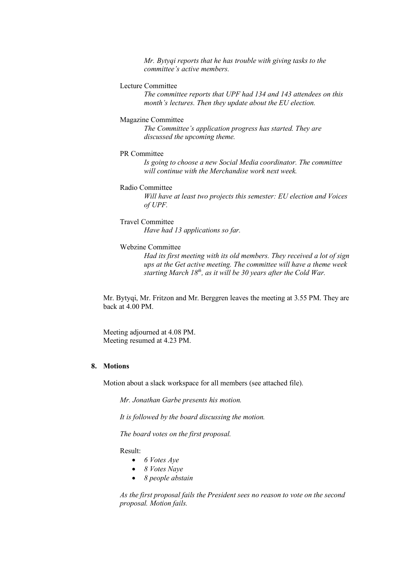*Mr. Bytyqi reports that he has trouble with giving tasks to the committee's active members.* 

# Lecture Committee

*The committee reports that UPF had 134 and 143 attendees on this month's lectures. Then they update about the EU election.* 

#### Magazine Committee

*The Committee's application progress has started. They are discussed the upcoming theme.* 

### PR Committee

*Is going to choose a new Social Media coordinator. The committee will continue with the Merchandise work next week.* 

### Radio Committee

*Will have at least two projects this semester: EU election and Voices of UPF.* 

#### Travel Committee

*Have had 13 applications so far.* 

### Webzine Committee

*Had its first meeting with its old members. They received a lot of sign ups at the Get active meeting. The committee will have a theme week starting March 18<sup>th</sup>, as it will be 30 years after the Cold War.* 

Mr. Bytyqi, Mr. Fritzon and Mr. Berggren leaves the meeting at 3.55 PM. They are back at  $4.00 \text{ PM}$ 

Meeting adjourned at 4.08 PM. Meeting resumed at 4.23 PM.

# **8. Motions**

Motion about a slack workspace for all members (see attached file).

*Mr. Jonathan Garbe presents his motion.* 

*It is followed by the board discussing the motion.* 

*The board votes on the first proposal.* 

Result:

- *6 Votes Aye*
- *8 Votes Naye*
- *8 people abstain*

*As the first proposal fails the President sees no reason to vote on the second proposal. Motion fails.*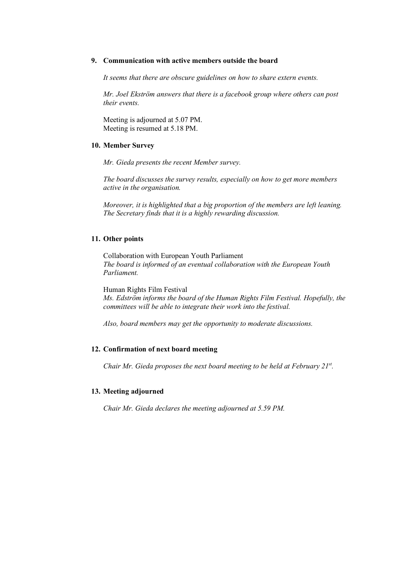#### **9. Communication with active members outside the board**

*It seems that there are obscure guidelines on how to share extern events.* 

*Mr. Joel Ekström answers that there is a facebook group where others can post their events.* 

Meeting is adjourned at 5.07 PM. Meeting is resumed at 5.18 PM.

### **10. Member Survey**

*Mr. Gieda presents the recent Member survey.*

*The board discusses the survey results, especially on how to get more members active in the organisation.* 

*Moreover, it is highlighted that a big proportion of the members are left leaning. The Secretary finds that it is a highly rewarding discussion.*

### **11. Other points**

Collaboration with European Youth Parliament *The board is informed of an eventual collaboration with the European Youth Parliament.* 

Human Rights Film Festival *Ms. Edström informs the board of the Human Rights Film Festival. Hopefully, the committees will be able to integrate their work into the festival.* 

*Also, board members may get the opportunity to moderate discussions.* 

### **12. Confirmation of next board meeting**

*Chair Mr. Gieda proposes the next board meeting to be held at February 21st.* 

#### **13. Meeting adjourned**

*Chair Mr. Gieda declares the meeting adjourned at 5.59 PM.*